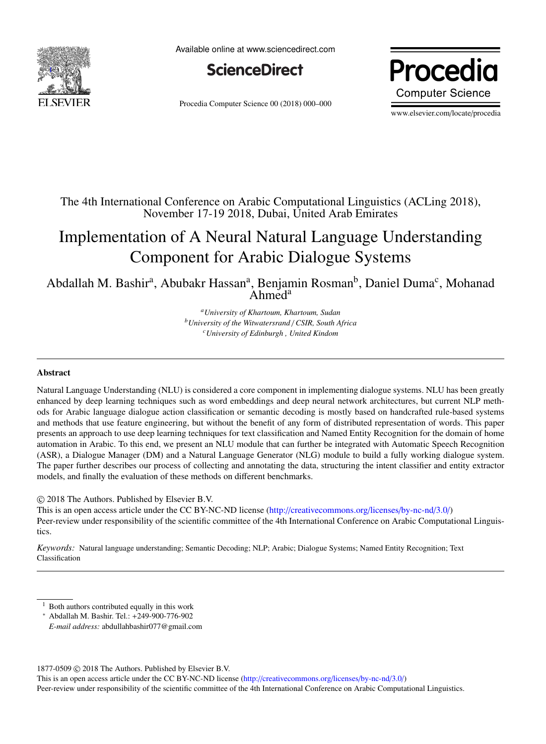

Available online at www.sciencedirect.com



Procedia Computer Science 00 (2018) 000–000

Procedia **Computer Science** 

www.elsevier.com/locate/procedia

## The 4th International Conference on Arabic Computational Linguistics (ACLing 2018), November 17-19 2018, Dubai, United Arab Emirates

# Implementation of A Neural Natural Language Understanding Component for Arabic Dialogue Systems

Abdallah M. Bashir<sup>a</sup>, Abubakr Hassan<sup>a</sup>, Benjamin Rosman<sup>b</sup>, Daniel Duma<sup>c</sup>, Mohanad Ahmed<sup>a</sup>

> *<sup>a</sup>University of Khartoum, Khartoum, Sudan <sup>b</sup>University of the Witwatersrand* / *CSIR, South Africa <sup>c</sup>University of Edinburgh , United Kindom*

## Abstract

Natural Language Understanding (NLU) is considered a core component in implementing dialogue systems. NLU has been greatly enhanced by deep learning techniques such as word embeddings and deep neural network architectures, but current NLP methods for Arabic language dialogue action classification or semantic decoding is mostly based on handcrafted rule-based systems and methods that use feature engineering, but without the benefit of any form of distributed representation of words. This paper presents an approach to use deep learning techniques for text classification and Named Entity Recognition for the domain of home automation in Arabic. To this end, we present an NLU module that can further be integrated with Automatic Speech Recognition (ASR), a Dialogue Manager (DM) and a Natural Language Generator (NLG) module to build a fully working dialogue system. The paper further describes our process of collecting and annotating the data, structuring the intent classifier and entity extractor models, and finally the evaluation of these methods on different benchmarks.

© 2018 The Authors. Published by Elsevier B.V.

This is an open access article under the CC BY-NC-ND license (http://[creativecommons.org](http://creativecommons.org/licenses/by-nc-nd/3.0/)/licenses/by-nc-nd/3.0/) Peer-review under responsibility of the scientific committee of the 4th International Conference on Arabic Computational Linguistics.

*Keywords:* Natural language understanding; Semantic Decoding; NLP; Arabic; Dialogue Systems; Named Entity Recognition; Text Classification

<span id="page-0-0"></span><sup>&</sup>lt;sup>1</sup> Both authors contributed equally in this work

<sup>∗</sup> Abdallah M. Bashir. Tel.: +249-900-776-902

*E-mail address:* abdullahbashir077@gmail.com

<sup>1877-0509</sup> © 2018 The Authors. Published by Elsevier B.V.

This is an open access article under the CC BY-NC-ND license (http://[creativecommons.org](http://creativecommons.org/licenses/by-nc-nd/3.0/)/licenses/by-nc-nd/3.0/) Peer-review under responsibility of the scientific committee of the 4th International Conference on Arabic Computational Linguistics.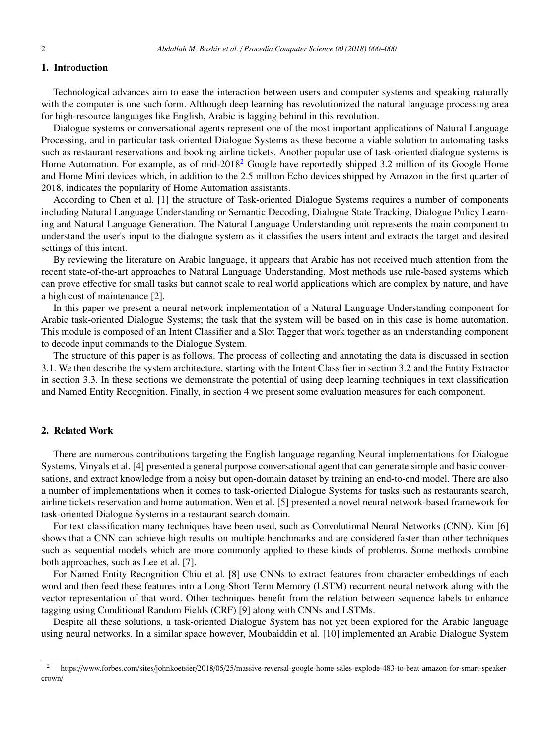## 1. Introduction

Technological advances aim to ease the interaction between users and computer systems and speaking naturally with the computer is one such form. Although deep learning has revolutionized the natural language processing area for high-resource languages like English, Arabic is lagging behind in this revolution.

Dialogue systems or conversational agents represent one of the most important applications of Natural Language Processing, and in particular task-oriented Dialogue Systems as these become a viable solution to automating tasks such as restaurant reservations and booking airline tickets. Another popular use of task-oriented dialogue systems is Home Automation. For example, as of mid-[2](#page-1-0)018<sup>2</sup> Google have reportedly shipped 3.2 million of its Google Home and Home Mini devices which, in addition to the 2.5 million Echo devices shipped by Amazon in the first quarter of 2018, indicates the popularity of Home Automation assistants.

According to Chen et al. [1] the structure of Task-oriented Dialogue Systems requires a number of components including Natural Language Understanding or Semantic Decoding, Dialogue State Tracking, Dialogue Policy Learning and Natural Language Generation. The Natural Language Understanding unit represents the main component to understand the user's input to the dialogue system as it classifies the users intent and extracts the target and desired settings of this intent.

By reviewing the literature on Arabic language, it appears that Arabic has not received much attention from the recent state-of-the-art approaches to Natural Language Understanding. Most methods use rule-based systems which can prove effective for small tasks but cannot scale to real world applications which are complex by nature, and have a high cost of maintenance [2].

In this paper we present a neural network implementation of a Natural Language Understanding component for Arabic task-oriented Dialogue Systems; the task that the system will be based on in this case is home automation. This module is composed of an Intent Classifier and a Slot Tagger that work together as an understanding component to decode input commands to the Dialogue System.

The structure of this paper is as follows. The process of collecting and annotating the data is discussed in section 3.1. We then describe the system architecture, starting with the Intent Classifier in section 3.2 and the Entity Extractor in section 3.3. In these sections we demonstrate the potential of using deep learning techniques in text classification and Named Entity Recognition. Finally, in section 4 we present some evaluation measures for each component.

## 2. Related Work

There are numerous contributions targeting the English language regarding Neural implementations for Dialogue Systems. Vinyals et al. [4] presented a general purpose conversational agent that can generate simple and basic conversations, and extract knowledge from a noisy but open-domain dataset by training an end-to-end model. There are also a number of implementations when it comes to task-oriented Dialogue Systems for tasks such as restaurants search, airline tickets reservation and home automation. Wen et al. [5] presented a novel neural network-based framework for task-oriented Dialogue Systems in a restaurant search domain.

For text classification many techniques have been used, such as Convolutional Neural Networks (CNN). Kim [6] shows that a CNN can achieve high results on multiple benchmarks and are considered faster than other techniques such as sequential models which are more commonly applied to these kinds of problems. Some methods combine both approaches, such as Lee et al. [7].

For Named Entity Recognition Chiu et al. [8] use CNNs to extract features from character embeddings of each word and then feed these features into a Long-Short Term Memory (LSTM) recurrent neural network along with the vector representation of that word. Other techniques benefit from the relation between sequence labels to enhance tagging using Conditional Random Fields (CRF) [9] along with CNNs and LSTMs.

Despite all these solutions, a task-oriented Dialogue System has not yet been explored for the Arabic language using neural networks. In a similar space however, Moubaiddin et al. [10] implemented an Arabic Dialogue System

<span id="page-1-0"></span><sup>&</sup>lt;sup>2</sup> https://www.forbes.com/sites/johnkoetsier/2018/05/25/massive-reversal-google-home-sales-explode-483-to-beat-amazon-for-smart-speakercrown/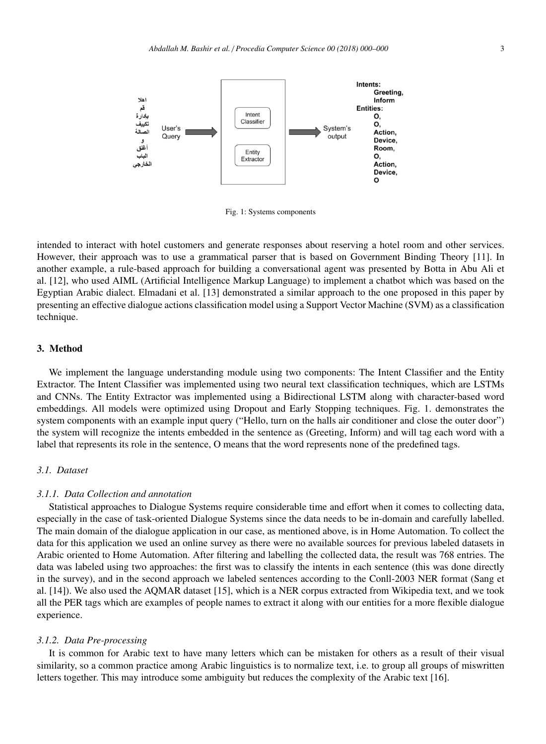

Fig. 1: Systems components

intended to interact with hotel customers and generate responses about reserving a hotel room and other services. However, their approach was to use a grammatical parser that is based on Government Binding Theory [11]. In another example, a rule-based approach for building a conversational agent was presented by Botta in Abu Ali et al. [12], who used AIML (Artificial Intelligence Markup Language) to implement a chatbot which was based on the Egyptian Arabic dialect. Elmadani et al. [13] demonstrated a similar approach to the one proposed in this paper by presenting an effective dialogue actions classification model using a Support Vector Machine (SVM) as a classification technique.

## 3. Method

We implement the language understanding module using two components: The Intent Classifier and the Entity Extractor. The Intent Classifier was implemented using two neural text classification techniques, which are LSTMs and CNNs. The Entity Extractor was implemented using a Bidirectional LSTM along with character-based word embeddings. All models were optimized using Dropout and Early Stopping techniques. Fig. 1. demonstrates the system components with an example input query ("Hello, turn on the halls air conditioner and close the outer door") the system will recognize the intents embedded in the sentence as (Greeting, Inform) and will tag each word with a label that represents its role in the sentence, O means that the word represents none of the predefined tags.

## *3.1. Dataset*

#### *3.1.1. Data Collection and annotation*

Statistical approaches to Dialogue Systems require considerable time and effort when it comes to collecting data, especially in the case of task-oriented Dialogue Systems since the data needs to be in-domain and carefully labelled. The main domain of the dialogue application in our case, as mentioned above, is in Home Automation. To collect the data for this application we used an online survey as there were no available sources for previous labeled datasets in Arabic oriented to Home Automation. After filtering and labelling the collected data, the result was 768 entries. The data was labeled using two approaches: the first was to classify the intents in each sentence (this was done directly in the survey), and in the second approach we labeled sentences according to the Conll-2003 NER format (Sang et al. [14]). We also used the AQMAR dataset [15], which is a NER corpus extracted from Wikipedia text, and we took all the PER tags which are examples of people names to extract it along with our entities for a more flexible dialogue experience.

#### *3.1.2. Data Pre-processing*

It is common for Arabic text to have many letters which can be mistaken for others as a result of their visual similarity, so a common practice among Arabic linguistics is to normalize text, i.e. to group all groups of miswritten letters together. This may introduce some ambiguity but reduces the complexity of the Arabic text [16].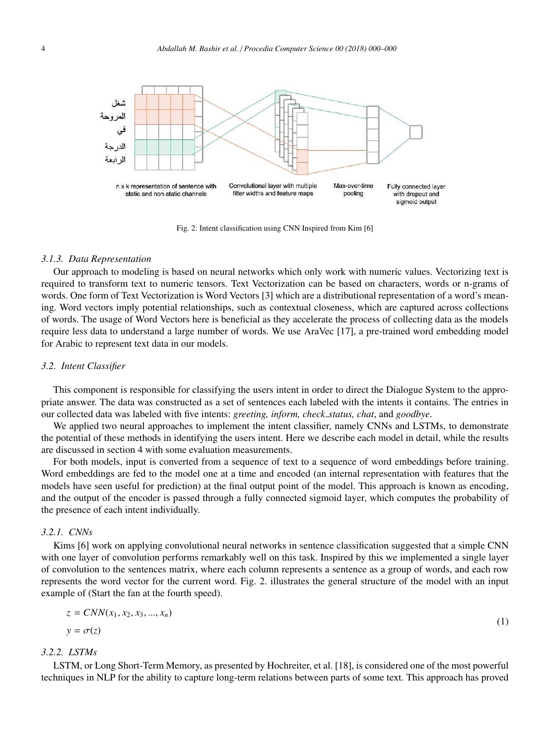

Fig. 2: Intent classification using CNN Inspired from Kim [6]

#### *3.1.3. Data Representation*

Our approach to modeling is based on neural networks which only work with numeric values. Vectorizing text is required to transform text to numeric tensors. Text Vectorization can be based on characters, words or n-grams of words. One form of Text Vectorization is Word Vectors [3] which are a distributional representation of a word's meaning. Word vectors imply potential relationships, such as contextual closeness, which are captured across collections of words. The usage of Word Vectors here is beneficial as they accelerate the process of collecting data as the models require less data to understand a large number of words. We use AraVec [17], a pre-trained word embedding model for Arabic to represent text data in our models.

#### *3.2. Intent Classifier*

This component is responsible for classifying the users intent in order to direct the Dialogue System to the appropriate answer. The data was constructed as a set of sentences each labeled with the intents it contains. The entries in our collected data was labeled with five intents: *greeting, inform, check status, chat*, and *goodbye*.

We applied two neural approaches to implement the intent classifier, namely CNNs and LSTMs, to demonstrate the potential of these methods in identifying the users intent. Here we describe each model in detail, while the results are discussed in section 4 with some evaluation measurements.

For both models, input is converted from a sequence of text to a sequence of word embeddings before training. Word embeddings are fed to the model one at a time and encoded (an internal representation with features that the models have seen useful for prediction) at the final output point of the model. This approach is known as encoding, and the output of the encoder is passed through a fully connected sigmoid layer, which computes the probability of the presence of each intent individually.

## *3.2.1. CNNs*

Kims [6] work on applying convolutional neural networks in sentence classification suggested that a simple CNN with one layer of convolution performs remarkably well on this task. Inspired by this we implemented a single layer of convolution to the sentences matrix, where each column represents a sentence as a group of words, and each row represents the word vector for the current word. Fig. 2. illustrates the general structure of the model with an input example of (Start the fan at the fourth speed).

$$
z = CNN(x_1, x_2, x_3, \dots, x_n)
$$
  
\n
$$
y = \sigma(z)
$$
\n(1)

## *3.2.2. LSTMs*

LSTM, or Long Short-Term Memory, as presented by Hochreiter, et al. [18], is considered one of the most powerful techniques in NLP for the ability to capture long-term relations between parts of some text. This approach has proved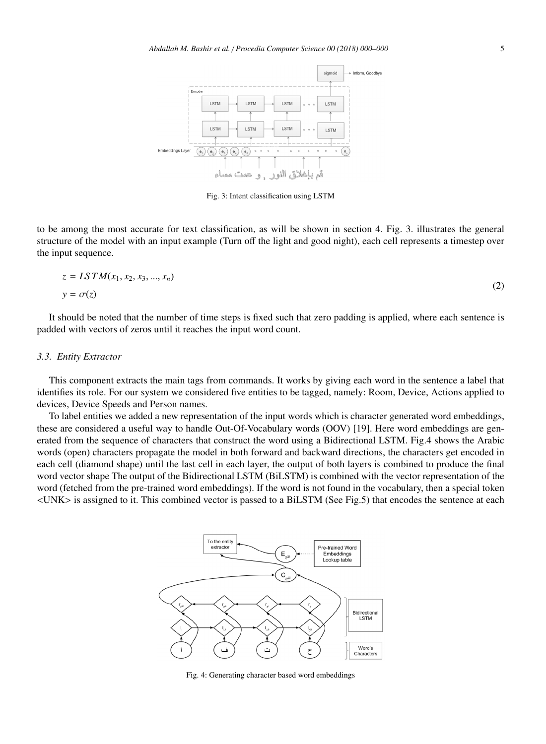

Fig. 3: Intent classification using LSTM

to be among the most accurate for text classification, as will be shown in section 4. Fig. 3. illustrates the general structure of the model with an input example (Turn off the light and good night), each cell represents a timestep over the input sequence.

$$
z = LSTM(x_1, x_2, x_3, \dots, x_n)
$$
  
\n
$$
y = \sigma(z)
$$
\n(2)

It should be noted that the number of time steps is fixed such that zero padding is applied, where each sentence is padded with vectors of zeros until it reaches the input word count.

#### *3.3. Entity Extractor*

This component extracts the main tags from commands. It works by giving each word in the sentence a label that identifies its role. For our system we considered five entities to be tagged, namely: Room, Device, Actions applied to devices, Device Speeds and Person names.

To label entities we added a new representation of the input words which is character generated word embeddings, these are considered a useful way to handle Out-Of-Vocabulary words (OOV) [19]. Here word embeddings are generated from the sequence of characters that construct the word using a Bidirectional LSTM. Fig.4 shows the Arabic words (open) characters propagate the model in both forward and backward directions, the characters get encoded in each cell (diamond shape) until the last cell in each layer, the output of both layers is combined to produce the final word vector shape The output of the Bidirectional LSTM (BiLSTM) is combined with the vector representation of the word (fetched from the pre-trained word embeddings). If the word is not found in the vocabulary, then a special token <UNK> is assigned to it. This combined vector is passed to a BiLSTM (See Fig.5) that encodes the sentence at each



Fig. 4: Generating character based word embeddings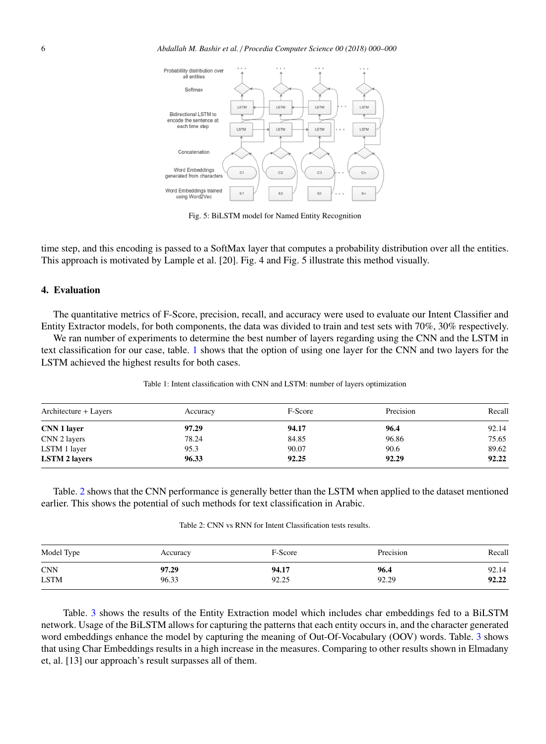

Fig. 5: BiLSTM model for Named Entity Recognition

time step, and this encoding is passed to a SoftMax layer that computes a probability distribution over all the entities. This approach is motivated by Lample et al. [20]. Fig. 4 and Fig. 5 illustrate this method visually.

## 4. Evaluation

The quantitative metrics of F-Score, precision, recall, and accuracy were used to evaluate our Intent Classifier and Entity Extractor models, for both components, the data was divided to train and test sets with 70%, 30% respectively.

We ran number of experiments to determine the best number of layers regarding using the CNN and the LSTM in text classification for our case, table. [1](#page-5-0) shows that the option of using one layer for the CNN and two layers for the LSTM achieved the highest results for both cases.

<span id="page-5-0"></span>

| Architecture + Layers | Accuracy | F-Score | Precision | Recall |
|-----------------------|----------|---------|-----------|--------|
| CNN 1 layer           | 97.29    | 94.17   | 96.4      | 92.14  |
| CNN 2 layers          | 78.24    | 84.85   | 96.86     | 75.65  |
| LSTM 1 layer          | 95.3     | 90.07   | 90.6      | 89.62  |
| <b>LSTM 2 layers</b>  | 96.33    | 92.25   | 92.29     | 92.22  |

Table 1: Intent classification with CNN and LSTM: number of layers optimization

<span id="page-5-1"></span>Table. [2](#page-5-1) shows that the CNN performance is generally better than the LSTM when applied to the dataset mentioned earlier. This shows the potential of such methods for text classification in Arabic.

Table 2: CNN vs RNN for Intent Classification tests results.

| Model Type  | Accuracy | F-Score | Precision | Recall |
|-------------|----------|---------|-----------|--------|
| <b>CNN</b>  | 97.29    | 94.17   | 96.4      | 92.14  |
| <b>LSTM</b> | 96.33    | 92.25   | 92.29     | 92.22  |

Table. [3](#page-6-0) shows the results of the Entity Extraction model which includes char embeddings fed to a BiLSTM network. Usage of the BiLSTM allows for capturing the patterns that each entity occurs in, and the character generated word embeddings enhance the model by capturing the meaning of Out-Of-Vocabulary (OOV) words. Table. [3](#page-6-0) shows that using Char Embeddings results in a high increase in the measures. Comparing to other results shown in Elmadany et, al. [13] our approach's result surpasses all of them.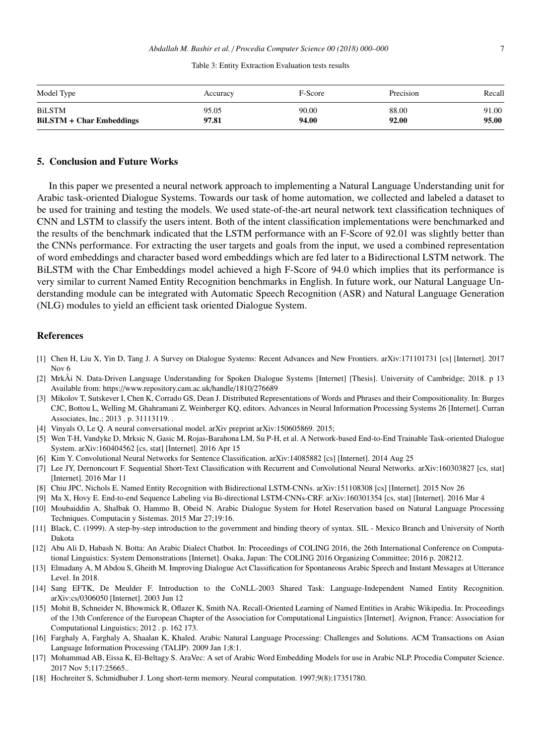| Table 3: Entity Extraction Evaluation tests results |  |  |  |  |
|-----------------------------------------------------|--|--|--|--|
|-----------------------------------------------------|--|--|--|--|

<span id="page-6-0"></span>

| Model Type                      | Accuracy | F-Score | Precision | Recall |
|---------------------------------|----------|---------|-----------|--------|
| <b>BiLSTM</b>                   | 95.05    | 90.00   | 88.00     | 91.00  |
| <b>BiLSTM + Char Embeddings</b> | 97.81    | 94.00   | 92.00     | 95.00  |

### 5. Conclusion and Future Works

In this paper we presented a neural network approach to implementing a Natural Language Understanding unit for Arabic task-oriented Dialogue Systems. Towards our task of home automation, we collected and labeled a dataset to be used for training and testing the models. We used state-of-the-art neural network text classification techniques of CNN and LSTM to classify the users intent. Both of the intent classification implementations were benchmarked and the results of the benchmark indicated that the LSTM performance with an F-Score of 92.01 was slightly better than the CNNs performance. For extracting the user targets and goals from the input, we used a combined representation of word embeddings and character based word embeddings which are fed later to a Bidirectional LSTM network. The BiLSTM with the Char Embeddings model achieved a high F-Score of 94.0 which implies that its performance is very similar to current Named Entity Recognition benchmarks in English. In future work, our Natural Language Understanding module can be integrated with Automatic Speech Recognition (ASR) and Natural Language Generation (NLG) modules to yield an efficient task oriented Dialogue System.

#### References

- [1] Chen H, Liu X, Yin D, Tang J. A Survey on Dialogue Systems: Recent Advances and New Frontiers. arXiv:171101731 [cs] [Internet]. 2017 Nov 6
- [2] MrkÅi N. Data-Driven Language Understanding for Spoken Dialogue Systems [Internet] [Thesis]. University of Cambridge; 2018. p 13 Available from: https://www.repository.cam.ac.uk/handle/1810/276689
- [3] Mikolov T, Sutskever I, Chen K, Corrado GS, Dean J. Distributed Representations of Words and Phrases and their Compositionality. In: Burges CJC, Bottou L, Welling M, Ghahramani Z, Weinberger KQ, editors. Advances in Neural Information Processing Systems 26 [Internet]. Curran Associates, Inc.; 2013 . p. 31113119. .
- [4] Vinyals O, Le Q. A neural conversational model. arXiv preprint arXiv:150605869. 2015;
- [5] Wen T-H, Vandyke D, Mrksic N, Gasic M, Rojas-Barahona LM, Su P-H, et al. A Network-based End-to-End Trainable Task-oriented Dialogue System. arXiv:160404562 [cs, stat] [Internet]. 2016 Apr 15
- [6] Kim Y. Convolutional Neural Networks for Sentence Classification. arXiv:14085882 [cs] [Internet]. 2014 Aug 25
- [7] Lee JY, Dernoncourt F. Sequential Short-Text Classification with Recurrent and Convolutional Neural Networks. arXiv:160303827 [cs, stat] [Internet]. 2016 Mar 11
- [8] Chiu JPC, Nichols E. Named Entity Recognition with Bidirectional LSTM-CNNs. arXiv:151108308 [cs] [Internet]. 2015 Nov 26
- [9] Ma X, Hovy E. End-to-end Sequence Labeling via Bi-directional LSTM-CNNs-CRF. arXiv:160301354 [cs, stat] [Internet]. 2016 Mar 4
- [10] Moubaiddin A, Shalbak O, Hammo B, Obeid N. Arabic Dialogue System for Hotel Reservation based on Natural Language Processing Techniques. Computacin y Sistemas. 2015 Mar 27;19:16.
- [11] Black, C. (1999). A step-by-step introduction to the government and binding theory of syntax. SIL Mexico Branch and University of North Dakota
- [12] Abu Ali D, Habash N. Botta: An Arabic Dialect Chatbot. In: Proceedings of COLING 2016, the 26th International Conference on Computational Linguistics: System Demonstrations [Internet]. Osaka, Japan: The COLING 2016 Organizing Committee; 2016 p. 208212.
- [13] Elmadany A, M Abdou S, Gheith M. Improving Dialogue Act Classification for Spontaneous Arabic Speech and Instant Messages at Utterance Level. In 2018.
- [14] Sang EFTK, De Meulder F. Introduction to the CoNLL-2003 Shared Task: Language-Independent Named Entity Recognition. arXiv:cs/0306050 [Internet]. 2003 Jun 12
- [15] Mohit B, Schneider N, Bhowmick R, Oflazer K, Smith NA. Recall-Oriented Learning of Named Entities in Arabic Wikipedia. In: Proceedings of the 13th Conference of the European Chapter of the Association for Computational Linguistics [Internet]. Avignon, France: Association for Computational Linguistics; 2012 . p. 162 173.
- [16] Farghaly A, Farghaly A, Shaalan K, Khaled. Arabic Natural Language Processing: Challenges and Solutions. ACM Transactions on Asian Language Information Processing (TALIP). 2009 Jan 1;8:1.
- [17] Mohammad AB, Eissa K, El-Beltagy S. AraVec: A set of Arabic Word Embedding Models for use in Arabic NLP. Procedia Computer Science. 2017 Nov 5;117:25665..
- [18] Hochreiter S, Schmidhuber J. Long short-term memory. Neural computation. 1997;9(8):17351780.